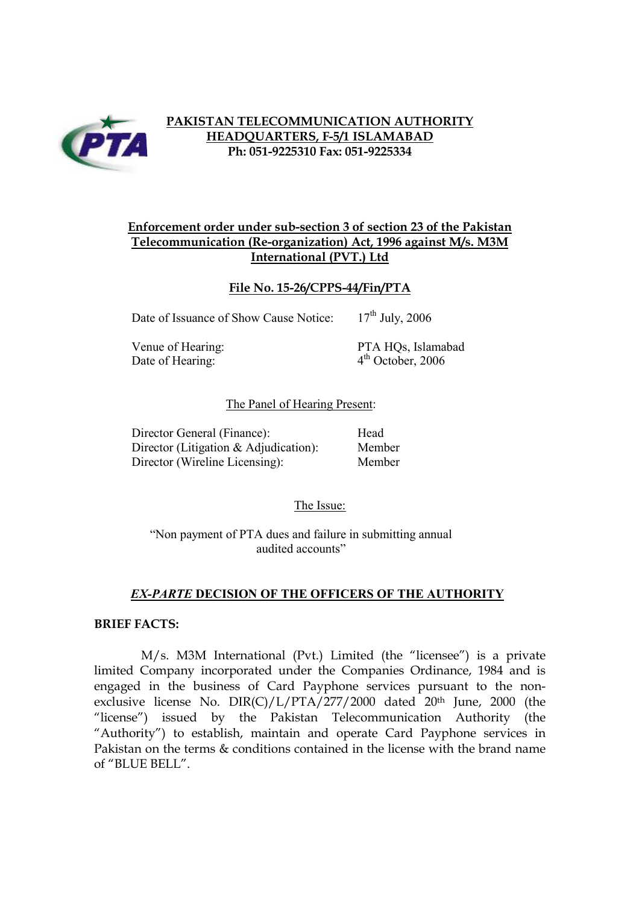

# **PAKISTAN TELECOMMUNICATION AUTHORITY HEADQUARTERS, F-5/1 ISLAMABAD Ph: 051-9225310 Fax: 051-9225334**

# **Enforcement order under sub-section 3 of section 23 of the Pakistan Telecommunication (Re-organization) Act, 1996 against M/s. M3M International (PVT.) Ltd**

## **File No. 15-26/CPPS-44/Fin/PTA**

Date of Issuance of Show Cause Notice:  $17<sup>th</sup>$  July, 2006

Date of Hearing:  $4<sup>th</sup> October, 2006$ 

Venue of Hearing: PTA HOs, Islamabad

#### The Panel of Hearing Present:

| Director General (Finance):              | Head |
|------------------------------------------|------|
| Director (Litigation $\&$ Adjudication): | Memb |
| Director (Wireline Licensing):           | Memb |

Member Member

The Issue:

"Non payment of PTA dues and failure in submitting annual audited accounts"

## *EX-PARTE* **DECISION OF THE OFFICERS OF THE AUTHORITY**

#### **BRIEF FACTS:**

M/s. M3M International (Pvt.) Limited (the "licensee") is a private limited Company incorporated under the Companies Ordinance, 1984 and is engaged in the business of Card Payphone services pursuant to the nonexclusive license No. DIR(C)/L/PTA/277/2000 dated 20th June, 2000 (the "license") issued by the Pakistan Telecommunication Authority (the "Authority") to establish, maintain and operate Card Payphone services in Pakistan on the terms & conditions contained in the license with the brand name of "BLUE BELL".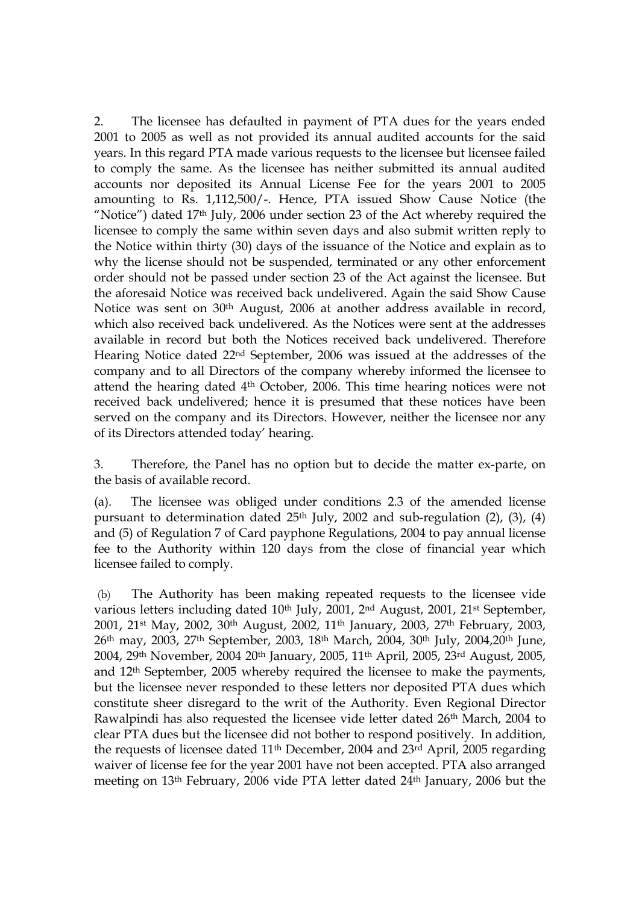2. The licensee has defaulted in payment of PTA dues for the years ended 2001 to 2005 as well as not provided its annual audited accounts for the said years. In this regard PTA made various requests to the licensee but licensee failed to comply the same. As the licensee has neither submitted its annual audited accounts nor deposited its Annual License Fee for the years 2001 to 2005 amounting to Rs. 1,112,500/-. Hence, PTA issued Show Cause Notice (the "Notice") dated 17th July, 2006 under section 23 of the Act whereby required the licensee to comply the same within seven days and also submit written reply to the Notice within thirty (30) days of the issuance of the Notice and explain as to why the license should not be suspended, terminated or any other enforcement order should not be passed under section 23 of the Act against the licensee. But the aforesaid Notice was received back undelivered. Again the said Show Cause Notice was sent on 30th August, 2006 at another address available in record, which also received back undelivered. As the Notices were sent at the addresses available in record but both the Notices received back undelivered. Therefore Hearing Notice dated 22nd September, 2006 was issued at the addresses of the company and to all Directors of the company whereby informed the licensee to attend the hearing dated 4th October, 2006. This time hearing notices were not received back undelivered; hence it is presumed that these notices have been served on the company and its Directors. However, neither the licensee nor any of its Directors attended today' hearing.

3. Therefore, the Panel has no option but to decide the matter ex-parte, on the basis of available record.

(a). The licensee was obliged under conditions 2.3 of the amended license pursuant to determination dated  $25<sup>th</sup>$  July, 2002 and sub-regulation (2), (3), (4) and (5) of Regulation 7 of Card payphone Regulations, 2004 to pay annual license fee to the Authority within 120 days from the close of financial year which licensee failed to comply.

(b) The Authority has been making repeated requests to the licensee vide various letters including dated 10<sup>th</sup> July, 2001, 2<sup>nd</sup> August, 2001, 21<sup>st</sup> September, 2001, 21st May, 2002, 30th August, 2002, 11th January, 2003, 27th February, 2003, 26th may, 2003, 27th September, 2003, 18th March, 2004, 30th July, 2004,20th June, 2004, 29th November, 2004 20th January, 2005, 11th April, 2005, 23rd August, 2005, and 12th September, 2005 whereby required the licensee to make the payments, but the licensee never responded to these letters nor deposited PTA dues which constitute sheer disregard to the writ of the Authority. Even Regional Director Rawalpindi has also requested the licensee vide letter dated 26th March, 2004 to clear PTA dues but the licensee did not bother to respond positively. In addition, the requests of licensee dated 11th December, 2004 and 23rd April, 2005 regarding waiver of license fee for the year 2001 have not been accepted. PTA also arranged meeting on 13th February, 2006 vide PTA letter dated 24th January, 2006 but the